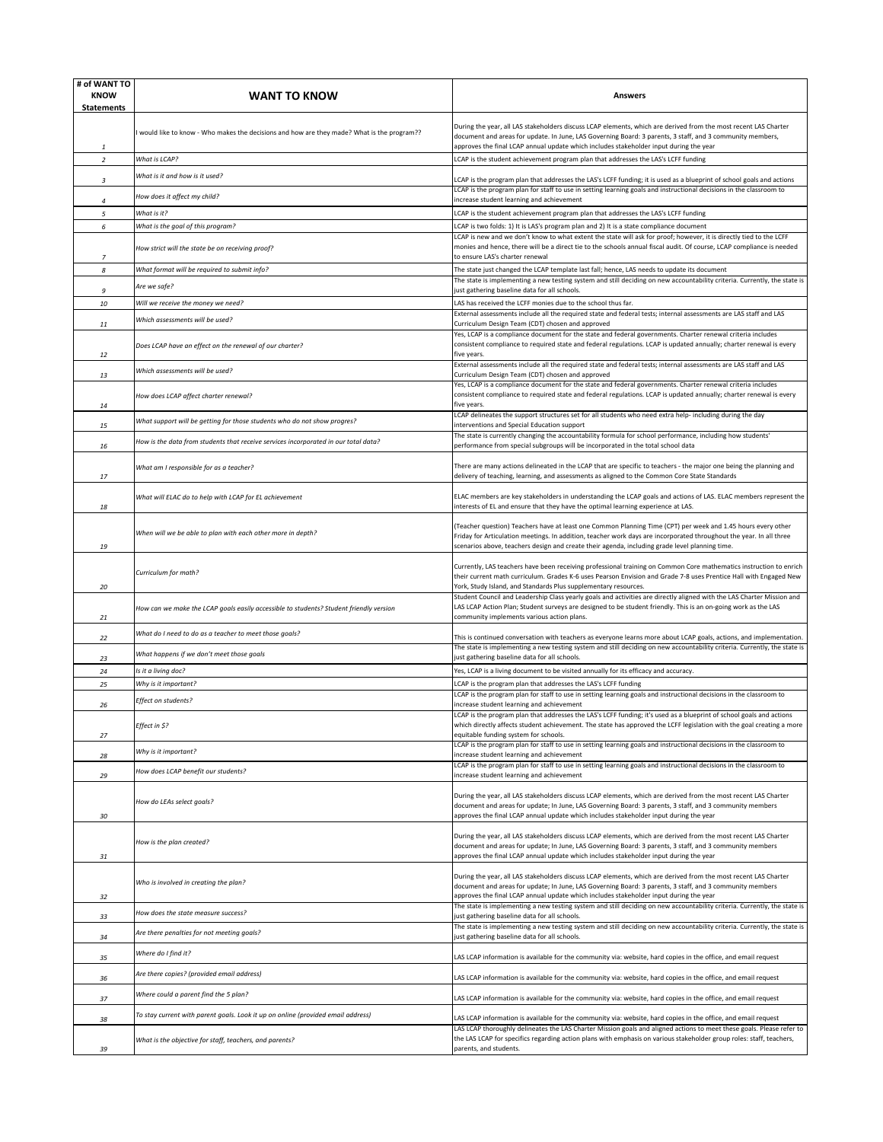| # of WANT TO<br><b>KNOW</b><br><b>Statements</b> | <b>WANT TO KNOW</b>                                                                         | Answers                                                                                                                                                                                                                                                                                                                               |
|--------------------------------------------------|---------------------------------------------------------------------------------------------|---------------------------------------------------------------------------------------------------------------------------------------------------------------------------------------------------------------------------------------------------------------------------------------------------------------------------------------|
| 1                                                | I would like to know - Who makes the decisions and how are they made? What is the program?? | During the year, all LAS stakeholders discuss LCAP elements, which are derived from the most recent LAS Charter<br>document and areas for update. In June, LAS Governing Board: 3 parents, 3 staff, and 3 community members,<br>approves the final LCAP annual update which includes stakeholder input during the year                |
| $\overline{2}$                                   | What is LCAP?                                                                               | LCAP is the student achievement program plan that addresses the LAS's LCFF funding                                                                                                                                                                                                                                                    |
| 3                                                | What is it and how is it used?                                                              | LCAP is the program plan that addresses the LAS's LCFF funding; it is used as a blueprint of school goals and actions                                                                                                                                                                                                                 |
| $\Delta$                                         | How does it affect my child?                                                                | LCAP is the program plan for staff to use in setting learning goals and instructional decisions in the classroom to<br>increase student learning and achievement                                                                                                                                                                      |
| 5                                                | What is it?                                                                                 | LCAP is the student achievement program plan that addresses the LAS's LCFF funding                                                                                                                                                                                                                                                    |
| 6                                                | What is the goal of this program?                                                           | LCAP is two folds: 1) It is LAS's program plan and 2) It is a state compliance document                                                                                                                                                                                                                                               |
| $\boldsymbol{7}$                                 | How strict will the state be on receiving proof?                                            | LCAP is new and we don't know to what extent the state will ask for proof; however, it is directly tied to the LCFF<br>monies and hence, there will be a direct tie to the schools annual fiscal audit. Of course, LCAP compliance is needed<br>to ensure LAS's charter renewal                                                       |
| 8                                                | What format will be required to submit info?                                                | The state just changed the LCAP template last fall; hence, LAS needs to update its document                                                                                                                                                                                                                                           |
| 9                                                | Are we safe?                                                                                | The state is implementing a new testing system and still deciding on new accountability criteria. Currently, the state is<br>just gathering baseline data for all schools.                                                                                                                                                            |
| 10                                               | Will we receive the money we need?                                                          | LAS has received the LCFF monies due to the school thus far.                                                                                                                                                                                                                                                                          |
|                                                  | Which assessments will be used?                                                             | External assessments include all the required state and federal tests; internal assessments are LAS staff and LAS<br>Curriculum Design Team (CDT) chosen and approved                                                                                                                                                                 |
| 11                                               | Does LCAP have an effect on the renewal of our charter?                                     | Yes, LCAP is a compliance document for the state and federal governments. Charter renewal criteria includes<br>consistent compliance to required state and federal regulations. LCAP is updated annually; charter renewal is every<br>five vears.                                                                                     |
| 12                                               | Which assessments will be used?                                                             | External assessments include all the required state and federal tests; internal assessments are LAS staff and LAS                                                                                                                                                                                                                     |
| 13                                               |                                                                                             | Curriculum Design Team (CDT) chosen and approved<br>Yes, LCAP is a compliance document for the state and federal governments. Charter renewal criteria includes                                                                                                                                                                       |
| 14                                               | How does LCAP affect charter renewal?                                                       | consistent compliance to required state and federal regulations. LCAP is updated annually; charter renewal is every<br>five years.<br>LCAP delineates the support structures set for all students who need extra help- including during the day                                                                                       |
| 15                                               | What support will be getting for those students who do not show progres?                    | interventions and Special Education support                                                                                                                                                                                                                                                                                           |
| 16                                               | How is the data from students that receive services incorporated in our total data?         | The state is currently changing the accountability formula for school performance, including how students'<br>performance from special subgroups will be incorporated in the total school data                                                                                                                                        |
| 17                                               | What am I responsible for as a teacher?                                                     | There are many actions delineated in the LCAP that are specific to teachers - the major one being the planning and<br>delivery of teaching, learning, and assessments as aligned to the Common Core State Standards                                                                                                                   |
| 18                                               | What will ELAC do to help with LCAP for EL achievement                                      | ELAC members are key stakeholders in understanding the LCAP goals and actions of LAS. ELAC members represent the<br>interests of EL and ensure that they have the optimal learning experience at LAS.                                                                                                                                 |
| 19                                               | When will we be able to plan with each other more in depth?                                 | (Teacher question) Teachers have at least one Common Planning Time (CPT) per week and 1.45 hours every other<br>Friday for Articulation meetings. In addition, teacher work days are incorporated throughout the year. In all three<br>scenarios above, teachers design and create their agenda, including grade level planning time. |
| 20                                               | Curriculum for math?                                                                        | Currently, LAS teachers have been receiving professional training on Common Core mathematics instruction to enrich<br>their current math curriculum. Grades K-6 uses Pearson Envision and Grade 7-8 uses Prentice Hall with Engaged New<br>York, Study Island, and Standards Plus supplementary resources.                            |
| 21                                               | How can we make the LCAP goals easily accessible to students? Student friendly version      | Student Council and Leadership Class yearly goals and activities are directly aligned with the LAS Charter Mission and<br>LAS LCAP Action Plan; Student surveys are designed to be student friendly. This is an on-going work as the LAS<br>community implements various action plans.                                                |
| 22                                               | What do I need to do as a teacher to meet those goals?                                      | This is continued conversation with teachers as everyone learns more about LCAP goals, actions, and implementation.                                                                                                                                                                                                                   |
| 23                                               | What happens if we don't meet those goals                                                   | The state is implementing a new testing system and still deciding on new accountability criteria. Currently, the state is<br>just gathering baseline data for all schools.                                                                                                                                                            |
| 24                                               | Is it a living doc?                                                                         | Yes, LCAP is a living document to be visited annually for its efficacy and accuracy.                                                                                                                                                                                                                                                  |
| 25                                               | Why is it important?                                                                        | LCAP is the program plan that addresses the LAS's LCFF funding                                                                                                                                                                                                                                                                        |
| 26                                               | Effect on students?                                                                         | LCAP is the program plan for staff to use in setting learning goals and instructional decisions in the classroom to<br>increase student learning and achievement                                                                                                                                                                      |
| 27                                               | Effect in \$?                                                                               | LCAP is the program plan that addresses the LAS's LCFF funding; it's used as a blueprint of school goals and actions<br>vhich directly affects student achievement. The state has approved the LCFF legislation with the goal creati<br>equitable funding system for schools.                                                         |
|                                                  | Why is it important?                                                                        | LCAP is the program plan for staff to use in setting learning goals and instructional decisions in the classroom to                                                                                                                                                                                                                   |
| 28                                               |                                                                                             | increase student learning and achievement<br>LCAP is the program plan for staff to use in setting learning goals and instructional decisions in the classroom to                                                                                                                                                                      |
| 29                                               | How does LCAP benefit our students?                                                         | increase student learning and achievement                                                                                                                                                                                                                                                                                             |
| 30                                               | How do LEAs select goals?                                                                   | During the year, all LAS stakeholders discuss LCAP elements, which are derived from the most recent LAS Charter<br>document and areas for update; In June, LAS Governing Board: 3 parents, 3 staff, and 3 community members<br>approves the final LCAP annual update which includes stakeholder input during the year                 |
| 31                                               | How is the plan created?                                                                    | During the year, all LAS stakeholders discuss LCAP elements, which are derived from the most recent LAS Charter<br>document and areas for update; In June, LAS Governing Board: 3 parents, 3 staff, and 3 community members<br>approves the final LCAP annual update which includes stakeholder input during the year                 |
| 32                                               | Who is involved in creating the plan?                                                       | During the year, all LAS stakeholders discuss LCAP elements, which are derived from the most recent LAS Charter<br>document and areas for update; In June, LAS Governing Board: 3 parents, 3 staff, and 3 community members<br>approves the final LCAP annual update which includes stakeholder input during the year                 |
|                                                  | How does the state measure success?                                                         | The state is implementing a new testing system and still deciding on new accountability criteria. Currently, the state is                                                                                                                                                                                                             |
| 33<br>34                                         | Are there penalties for not meeting goals?                                                  | ust gathering baseline data for all schools.<br>The state is implementing a new testing system and still deciding on new accountability criteria. Currently, the state is<br>just gathering baseline data for all schools.                                                                                                            |
|                                                  | Where do I find it?                                                                         |                                                                                                                                                                                                                                                                                                                                       |
| 35                                               | Are there copies? (provided email address)                                                  | LAS LCAP information is available for the community via: website, hard copies in the office, and email request                                                                                                                                                                                                                        |
| 36                                               |                                                                                             | LAS LCAP information is available for the community via: website, hard copies in the office, and email request                                                                                                                                                                                                                        |
| 37                                               | Where could a parent find the 5 plan?                                                       | LAS LCAP information is available for the community via: website, hard copies in the office, and email request                                                                                                                                                                                                                        |
| 38                                               | To stay current with parent goals. Look it up on online (provided email address)            | LAS LCAP information is available for the community via: website, hard copies in the office, and email request<br>LAS LCAP thoroughly delineates the LAS Charter Mission goals and aligned actions to meet these goals. Please refer to                                                                                               |
| 39                                               | What is the objective for staff, teachers, and parents?                                     | the LAS LCAP for specifics regarding action plans with emphasis on various stakeholder group roles: staff, teachers,<br>parents, and students.                                                                                                                                                                                        |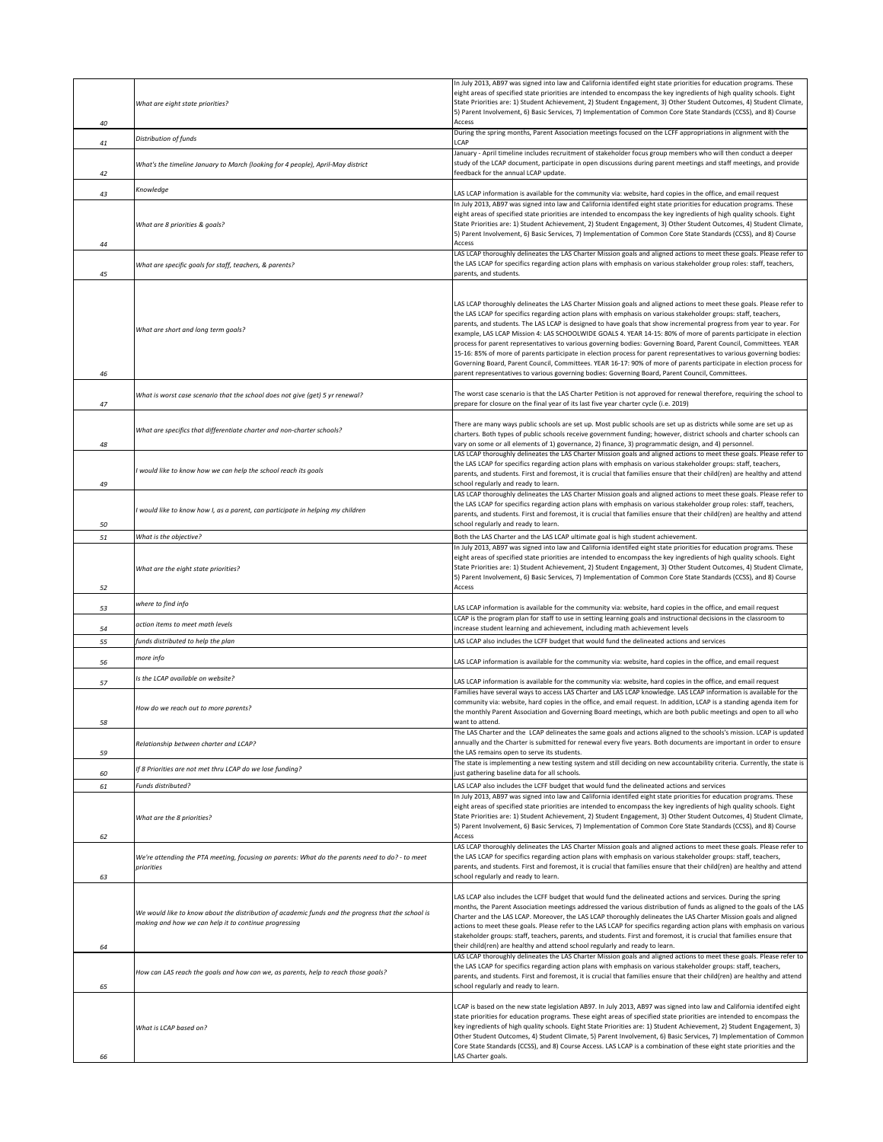| 40 | What are eight state priorities?                                                                                                                            | In July 2013, AB97 was signed into law and California identifed eight state priorities for education programs. These<br>eight areas of specified state priorities are intended to encompass the key ingredients of high quality schools. Eight<br>State Priorities are: 1) Student Achievement, 2) Student Engagement, 3) Other Student Outcomes, 4) Student Climate,<br>5) Parent Involvement, 6) Basic Services, 7) Implementation of Common Core State Standards (CCSS), and 8) Course<br>Access                                                                                                                                                                                                                                                                                                                                                                                                                                                         |
|----|-------------------------------------------------------------------------------------------------------------------------------------------------------------|-------------------------------------------------------------------------------------------------------------------------------------------------------------------------------------------------------------------------------------------------------------------------------------------------------------------------------------------------------------------------------------------------------------------------------------------------------------------------------------------------------------------------------------------------------------------------------------------------------------------------------------------------------------------------------------------------------------------------------------------------------------------------------------------------------------------------------------------------------------------------------------------------------------------------------------------------------------|
| 41 | Distribution of funds                                                                                                                                       | During the spring months, Parent Association meetings focused on the LCFF appropriations in alignment with the<br>LCAP                                                                                                                                                                                                                                                                                                                                                                                                                                                                                                                                                                                                                                                                                                                                                                                                                                      |
| 42 | What's the timeline January to March (looking for 4 people), April-May district                                                                             | January - April timeline includes recruitment of stakeholder focus group members who will then conduct a deeper<br>study of the LCAP document, participate in open discussions during parent meetings and staff meetings, and provide<br>feedback for the annual LCAP update.                                                                                                                                                                                                                                                                                                                                                                                                                                                                                                                                                                                                                                                                               |
| 43 | Knowledge                                                                                                                                                   | LAS LCAP information is available for the community via: website, hard copies in the office, and email request                                                                                                                                                                                                                                                                                                                                                                                                                                                                                                                                                                                                                                                                                                                                                                                                                                              |
| 44 | What are 8 priorities & goals?                                                                                                                              | In July 2013, AB97 was signed into law and California identifed eight state priorities for education programs. These<br>eight areas of specified state priorities are intended to encompass the key ingredients of high quality schools. Eight<br>State Priorities are: 1) Student Achievement, 2) Student Engagement, 3) Other Student Outcomes, 4) Student Climate,<br>5) Parent Involvement, 6) Basic Services, 7) Implementation of Common Core State Standards (CCSS), and 8) Course<br>Access                                                                                                                                                                                                                                                                                                                                                                                                                                                         |
| 45 | What are specific goals for staff, teachers, & parents?                                                                                                     | LAS LCAP thoroughly delineates the LAS Charter Mission goals and aligned actions to meet these goals. Please refer to<br>the LAS LCAP for specifics regarding action plans with emphasis on various stakeholder group roles: staff, teachers,<br>parents, and students.                                                                                                                                                                                                                                                                                                                                                                                                                                                                                                                                                                                                                                                                                     |
| 46 | What are short and long term goals?                                                                                                                         | LAS LCAP thoroughly delineates the LAS Charter Mission goals and aligned actions to meet these goals. Please refer to<br>the LAS LCAP for specifics regarding action plans with emphasis on various stakeholder groups: staff, teachers,<br>parents, and students. The LAS LCAP is designed to have goals that show incremental progress from year to year. For<br>example, LAS LCAP Mission 4: LAS SCHOOLWIDE GOALS 4. YEAR 14-15: 80% of more of parents participate in election<br>process for parent representatives to various governing bodies: Governing Board, Parent Council, Committees. YEAR<br>15-16: 85% of more of parents participate in election process for parent representatives to various governing bodies:<br>Governing Board, Parent Council, Committees. YEAR 16-17: 90% of more of parents participate in election process for<br>parent representatives to various governing bodies: Governing Board, Parent Council, Committees. |
| 47 | What is worst case scenario that the school does not give (get) 5 yr renewal?                                                                               | The worst case scenario is that the LAS Charter Petition is not approved for renewal therefore, requiring the school to<br>prepare for closure on the final year of its last five year charter cycle (i.e. 2019)                                                                                                                                                                                                                                                                                                                                                                                                                                                                                                                                                                                                                                                                                                                                            |
| 48 | What are specifics that differentiate charter and non-charter schools?                                                                                      | There are many ways public schools are set up. Most public schools are set up as districts while some are set up as<br>charters. Both types of public schools receive government funding; however, district schools and charter schools can<br>vary on some or all elements of 1) governance, 2) finance, 3) programmatic design, and 4) personnel.                                                                                                                                                                                                                                                                                                                                                                                                                                                                                                                                                                                                         |
| 49 | would like to know how we can help the school reach its goals                                                                                               | LAS LCAP thoroughly delineates the LAS Charter Mission goals and aligned actions to meet these goals. Please refer to<br>the LAS LCAP for specifics regarding action plans with emphasis on various stakeholder groups: staff, teachers,<br>parents, and students. First and foremost, it is crucial that families ensure that their child(ren) are healthy and attend<br>school regularly and ready to learn.                                                                                                                                                                                                                                                                                                                                                                                                                                                                                                                                              |
| 50 | would like to know how I, as a parent, can participate in helping my children                                                                               | LAS LCAP thoroughly delineates the LAS Charter Mission goals and aligned actions to meet these goals. Please refer to<br>the LAS LCAP for specifics regarding action plans with emphasis on various stakeholder group roles: staff, teachers,<br>parents, and students. First and foremost, it is crucial that families ensure that their child(ren) are healthy and attend<br>school regularly and ready to learn.                                                                                                                                                                                                                                                                                                                                                                                                                                                                                                                                         |
| 51 | What is the objective?                                                                                                                                      | Both the LAS Charter and the LAS LCAP ultimate goal is high student achievement.                                                                                                                                                                                                                                                                                                                                                                                                                                                                                                                                                                                                                                                                                                                                                                                                                                                                            |
| 52 | What are the eight state priorities?                                                                                                                        | In July 2013, AB97 was signed into law and California identifed eight state priorities for education programs. These<br>eight areas of specified state priorities are intended to encompass the key ingredients of high quality schools. Eight<br>State Priorities are: 1) Student Achievement, 2) Student Engagement, 3) Other Student Outcomes, 4) Student Climate,<br>5) Parent Involvement, 6) Basic Services, 7) Implementation of Common Core State Standards (CCSS), and 8) Course<br>Access                                                                                                                                                                                                                                                                                                                                                                                                                                                         |
| 53 | where to find info                                                                                                                                          | LAS LCAP information is available for the community via: website, hard copies in the office, and email request                                                                                                                                                                                                                                                                                                                                                                                                                                                                                                                                                                                                                                                                                                                                                                                                                                              |
| 54 | action items to meet math levels                                                                                                                            | LCAP is the program plan for staff to use in setting learning goals and instructional decisions in the classroom to<br>increase student learning and achievement, including math achievement levels                                                                                                                                                                                                                                                                                                                                                                                                                                                                                                                                                                                                                                                                                                                                                         |
| 55 | funds distributed to help the plan                                                                                                                          | LAS LCAP also includes the LCFF budget that would fund the delineated actions and services                                                                                                                                                                                                                                                                                                                                                                                                                                                                                                                                                                                                                                                                                                                                                                                                                                                                  |
| 56 | more info                                                                                                                                                   | LAS LCAP information is available for the community via: website, hard copies in the office, and email request                                                                                                                                                                                                                                                                                                                                                                                                                                                                                                                                                                                                                                                                                                                                                                                                                                              |
| 57 | Is the LCAP available on website?                                                                                                                           | LAS LCAP information is available for the community via: website, hard copies in the office, and email request                                                                                                                                                                                                                                                                                                                                                                                                                                                                                                                                                                                                                                                                                                                                                                                                                                              |
| 58 | How do we reach out to more parents?                                                                                                                        | Families have several ways to access LAS Charter and LAS LCAP knowledge. LAS LCAP information is available for the<br>community via: website, hard copies in the office, and email request. In addition, LCAP is a standing agenda item for<br>the monthly Parent Association and Governing Board meetings, which are both public meetings and open to all who<br>rant to attend.                                                                                                                                                                                                                                                                                                                                                                                                                                                                                                                                                                           |
| 59 | Relationship between charter and LCAP?                                                                                                                      | The LAS Charter and the LCAP delineates the same goals and actions aligned to the schools's mission. LCAP is updated<br>annually and the Charter is submitted for renewal every five years. Both documents are important in order to ensure<br>the LAS remains open to serve its students.                                                                                                                                                                                                                                                                                                                                                                                                                                                                                                                                                                                                                                                                  |
| 60 | If 8 Priorities are not met thru LCAP do we lose funding?                                                                                                   | The state is implementing a new testing system and still deciding on new accountability criteria. Currently, the state is<br>just gathering baseline data for all schools.                                                                                                                                                                                                                                                                                                                                                                                                                                                                                                                                                                                                                                                                                                                                                                                  |
| 61 | Funds distributed?                                                                                                                                          | LAS LCAP also includes the LCFF budget that would fund the delineated actions and services<br>In July 2013, AB97 was signed into law and California identifed eight state priorities for education programs. These                                                                                                                                                                                                                                                                                                                                                                                                                                                                                                                                                                                                                                                                                                                                          |
| 62 | What are the 8 priorities?                                                                                                                                  | eight areas of specified state priorities are intended to encompass the key ingredients of high quality schools. Eight<br>State Priorities are: 1) Student Achievement, 2) Student Engagement, 3) Other Student Outcomes, 4) Student Climate,<br>5) Parent Involvement, 6) Basic Services, 7) Implementation of Common Core State Standards (CCSS), and 8) Course<br>Access                                                                                                                                                                                                                                                                                                                                                                                                                                                                                                                                                                                 |
| 63 | We're attending the PTA meeting, focusing on parents: What do the parents need to do? - to meet<br>priorities                                               | LAS LCAP thoroughly delineates the LAS Charter Mission goals and aligned actions to meet these goals. Please refer to<br>the LAS LCAP for specifics regarding action plans with emphasis on various stakeholder groups: staff, teachers,<br>parents, and students. First and foremost, it is crucial that families ensure that their child(ren) are healthy and attend<br>school regularly and ready to learn.                                                                                                                                                                                                                                                                                                                                                                                                                                                                                                                                              |
| 64 | We would like to know about the distribution of academic funds and the progress that the school is<br>making and how we can help it to continue progressing | LAS LCAP also includes the LCFF budget that would fund the delineated actions and services. During the spring<br>months, the Parent Association meetings addressed the various distribution of funds as aligned to the goals of the LAS<br>Charter and the LAS LCAP. Moreover, the LAS LCAP thoroughly delineates the LAS Charter Mission goals and aligned<br>actions to meet these goals. Please refer to the LAS LCAP for specifics regarding action plans with emphasis on various<br>stakeholder groups: staff, teachers, parents, and students. First and foremost, it is crucial that families ensure that<br>their child(ren) are healthy and attend school regularly and ready to learn.                                                                                                                                                                                                                                                           |
| 65 | How can LAS reach the goals and how can we, as parents, help to reach those goals?                                                                          | LAS LCAP thoroughly delineates the LAS Charter Mission goals and aligned actions to meet these goals. Please refer to<br>the LAS LCAP for specifics regarding action plans with emphasis on various stakeholder groups: staff, teachers,<br>parents, and students. First and foremost, it is crucial that families ensure that their child(ren) are healthy and attend<br>school regularly and ready to learn.                                                                                                                                                                                                                                                                                                                                                                                                                                                                                                                                              |
| 66 | What is LCAP based on?                                                                                                                                      | LCAP is based on the new state legislation AB97. In July 2013, AB97 was signed into law and California identifed eight<br>state priorities for education programs. These eight areas of specified state priorities are intended to encompass the<br>key ingredients of high quality schools. Eight State Priorities are: 1) Student Achievement, 2) Student Engagement, 3)<br>Other Student Outcomes, 4) Student Climate, 5) Parent Involvement, 6) Basic Services, 7) Implementation of Common<br>Core State Standards (CCSS), and 8) Course Access. LAS LCAP is a combination of these eight state priorities and the<br>LAS Charter goals.                                                                                                                                                                                                                                                                                                               |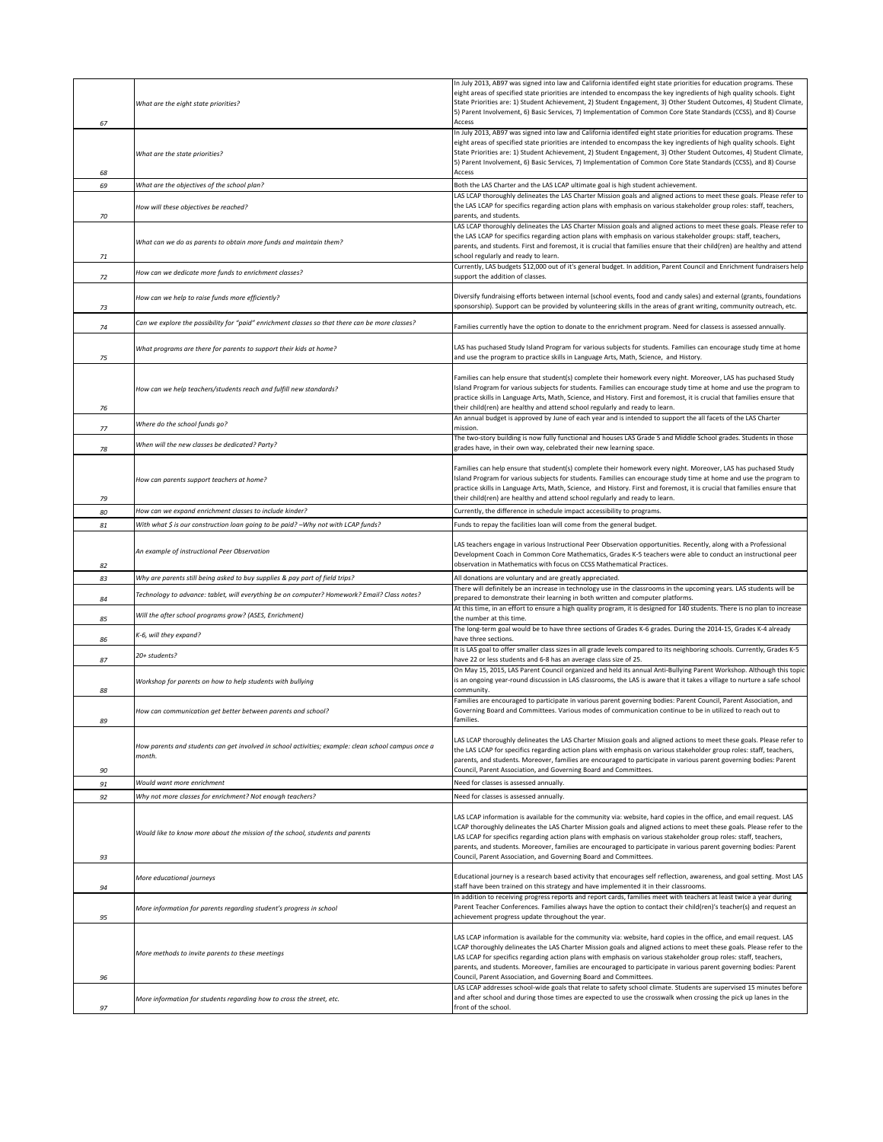| 67 | What are the eight state priorities?                                                                          | In July 2013, AB97 was signed into law and California identifed eight state priorities for education programs. These<br>eight areas of specified state priorities are intended to encompass the key ingredients of high quality schools. Eight<br>State Priorities are: 1) Student Achievement, 2) Student Engagement, 3) Other Student Outcomes, 4) Student Climate,<br>5) Parent Involvement, 6) Basic Services, 7) Implementation of Common Core State Standards (CCSS), and 8) Course<br>Access                                                                                                                                                                                |
|----|---------------------------------------------------------------------------------------------------------------|------------------------------------------------------------------------------------------------------------------------------------------------------------------------------------------------------------------------------------------------------------------------------------------------------------------------------------------------------------------------------------------------------------------------------------------------------------------------------------------------------------------------------------------------------------------------------------------------------------------------------------------------------------------------------------|
| 68 | What are the state priorities?                                                                                | In July 2013, AB97 was signed into law and California identifed eight state priorities for education programs. These<br>eight areas of specified state priorities are intended to encompass the key ingredients of high quality schools. Eight<br>State Priorities are: 1) Student Achievement, 2) Student Engagement, 3) Other Student Outcomes, 4) Student Climate,<br>5) Parent Involvement, 6) Basic Services, 7) Implementation of Common Core State Standards (CCSS), and 8) Course<br>Access                                                                                                                                                                                |
| 69 | What are the objectives of the school plan?                                                                   | Both the LAS Charter and the LAS LCAP ultimate goal is high student achievement.                                                                                                                                                                                                                                                                                                                                                                                                                                                                                                                                                                                                   |
| 70 | How will these objectives be reached?                                                                         | LAS LCAP thoroughly delineates the LAS Charter Mission goals and aligned actions to meet these goals. Please refer to<br>the LAS LCAP for specifics regarding action plans with emphasis on various stakeholder group roles: staff, teachers,<br>parents, and students.                                                                                                                                                                                                                                                                                                                                                                                                            |
|    |                                                                                                               | LAS LCAP thoroughly delineates the LAS Charter Mission goals and aligned actions to meet these goals. Please refer to                                                                                                                                                                                                                                                                                                                                                                                                                                                                                                                                                              |
| 71 | What can we do as parents to obtain more funds and maintain them?                                             | the LAS LCAP for specifics regarding action plans with emphasis on various stakeholder groups: staff, teachers,<br>parents, and students. First and foremost, it is crucial that families ensure that their child(ren) are healthy and attend<br>school regularly and ready to learn.                                                                                                                                                                                                                                                                                                                                                                                              |
| 72 | How can we dedicate more funds to enrichment classes?                                                         | Currently, LAS budgets \$12,000 out of it's general budget. In addition, Parent Council and Enrichment fundraisers help<br>support the addition of classes.                                                                                                                                                                                                                                                                                                                                                                                                                                                                                                                        |
| 73 | How can we help to raise funds more efficiently?                                                              | Diversify fundraising efforts between internal (school events, food and candy sales) and external (grants, foundations<br>sponsorship). Support can be provided by volunteering skills in the areas of grant writing, community outreach, etc.                                                                                                                                                                                                                                                                                                                                                                                                                                     |
| 74 | Can we explore the possibility for "paid" enrichment classes so that there can be more classes?               | Families currently have the option to donate to the enrichment program. Need for classess is assessed annually.                                                                                                                                                                                                                                                                                                                                                                                                                                                                                                                                                                    |
| 75 | What programs are there for parents to support their kids at home?                                            | LAS has puchased Study Island Program for various subjects for students. Families can encourage study time at home<br>and use the program to practice skills in Language Arts, Math, Science, and History.                                                                                                                                                                                                                                                                                                                                                                                                                                                                         |
| 76 | How can we help teachers/students reach and fulfill new standards?                                            | Families can help ensure that student(s) complete their homework every night. Moreover, LAS has puchased Study<br>Island Program for various subjects for students. Families can encourage study time at home and use the program to<br>practice skills in Language Arts, Math, Science, and History. First and foremost, it is crucial that families ensure that<br>their child(ren) are healthy and attend school regularly and ready to learn.                                                                                                                                                                                                                                  |
| 77 | Where do the school funds go?                                                                                 | An annual budget is approved by June of each year and is intended to support the all facets of the LAS Charter<br>mission.                                                                                                                                                                                                                                                                                                                                                                                                                                                                                                                                                         |
| 78 | When will the new classes be dedicated? Party?                                                                | The two-story building is now fully functional and houses LAS Grade 5 and Middle School grades. Students in those<br>grades have, in their own way, celebrated their new learning space.                                                                                                                                                                                                                                                                                                                                                                                                                                                                                           |
|    |                                                                                                               |                                                                                                                                                                                                                                                                                                                                                                                                                                                                                                                                                                                                                                                                                    |
| 79 | How can parents support teachers at home?                                                                     | Families can help ensure that student(s) complete their homework every night. Moreover, LAS has puchased Study<br>Island Program for various subjects for students. Families can encourage study time at home and use the program to<br>practice skills in Language Arts, Math, Science, and History. First and foremost, it is crucial that families ensure that<br>their child(ren) are healthy and attend school regularly and ready to learn.                                                                                                                                                                                                                                  |
| 80 | How can we expand enrichment classes to include kinder?                                                       | Currently, the difference in schedule impact accessibility to programs.                                                                                                                                                                                                                                                                                                                                                                                                                                                                                                                                                                                                            |
| 81 | With what \$ is our construction loan going to be paid? -Why not with LCAP funds?                             | Funds to repay the facilities loan will come from the general budget.                                                                                                                                                                                                                                                                                                                                                                                                                                                                                                                                                                                                              |
|    | An example of instructional Peer Observation                                                                  | LAS teachers engage in various Instructional Peer Observation opportunities. Recently, along with a Professional<br>Development Coach in Common Core Mathematics, Grades K-5 teachers were able to conduct an instructional peer                                                                                                                                                                                                                                                                                                                                                                                                                                                   |
| 82 |                                                                                                               | observation in Mathematics with focus on CCSS Mathematical Practices.                                                                                                                                                                                                                                                                                                                                                                                                                                                                                                                                                                                                              |
|    |                                                                                                               |                                                                                                                                                                                                                                                                                                                                                                                                                                                                                                                                                                                                                                                                                    |
| 83 | Why are parents still being asked to buy supplies & pay part of field trips?                                  | All donations are voluntary and are greatly appreciated.<br>There will definitely be an increase in technology use in the classrooms in the upcoming years. LAS students will be                                                                                                                                                                                                                                                                                                                                                                                                                                                                                                   |
| 84 | Technology to advance: tablet, will everything be on computer? Homework? Email? Class notes?                  | prepared to demonstrate their learning in both written and computer platforms.<br>At this time, in an effort to ensure a high quality program, it is designed for 140 students. There is no plan to increase                                                                                                                                                                                                                                                                                                                                                                                                                                                                       |
| 85 | Will the after school programs grow? (ASES, Enrichment)                                                       | the number at this time.<br>The long-term goal would be to have three sections of Grades K-6 grades. During the 2014-15, Grades K-4 already                                                                                                                                                                                                                                                                                                                                                                                                                                                                                                                                        |
| 86 | K-6, will they expand?                                                                                        | have three sections.<br>It is LAS goal to offer smaller class sizes in all grade levels compared to its neighboring schools. Currently, Grades K-5                                                                                                                                                                                                                                                                                                                                                                                                                                                                                                                                 |
| 87 | 20+ students?                                                                                                 | have 22 or less students and 6-8 has an average class size of 25.                                                                                                                                                                                                                                                                                                                                                                                                                                                                                                                                                                                                                  |
| 88 | Workshop for parents on how to help students with bullying                                                    | On May 15, 2015, LAS Parent Council organized and held its annual Anti-Bullying Parent Workshop. Although this topic<br>is an ongoing year-round discussion in LAS classrooms, the LAS is aware that it takes a village to nurture a safe school<br>community.                                                                                                                                                                                                                                                                                                                                                                                                                     |
| 89 | How can communication get better between parents and school?                                                  | Families are encouraged to participate in various parent governing bodies: Parent Council, Parent Association, and<br>Governing Board and Committees. Various modes of communication continue to be in utilized to reach out to<br>families                                                                                                                                                                                                                                                                                                                                                                                                                                        |
| 90 | How parents and students can get involved in school activities; example: clean school campus once a<br>month. | LAS LCAP thoroughly delineates the LAS Charter Mission goals and aligned actions to meet these goals. Please refer to<br>the LAS LCAP for specifics regarding action plans with emphasis on various stakeholder group roles: staff, teachers,<br>parents, and students. Moreover, families are encouraged to participate in various parent governing bodies: Parent<br>Council, Parent Association, and Governing Board and Committees.                                                                                                                                                                                                                                            |
| 91 | Would want more enrichment                                                                                    | Need for classes is assessed annually.                                                                                                                                                                                                                                                                                                                                                                                                                                                                                                                                                                                                                                             |
| 92 | Why not more classes for enrichment? Not enough teachers?                                                     | Need for classes is assessed annually.                                                                                                                                                                                                                                                                                                                                                                                                                                                                                                                                                                                                                                             |
| 93 | Would like to know more about the mission of the school, students and parents                                 | LAS LCAP information is available for the community via: website, hard copies in the office, and email request. LAS<br>LCAP thoroughly delineates the LAS Charter Mission goals and aligned actions to meet these goals. Please refer to the<br>LAS LCAP for specifics regarding action plans with emphasis on various stakeholder group roles: staff, teachers,<br>parents, and students. Moreover, families are encouraged to participate in various parent governing bodies: Parent<br>Council, Parent Association, and Governing Board and Committees.                                                                                                                         |
| 94 | More educational journeys                                                                                     | Educational journey is a research based activity that encourages self reflection, awareness, and goal setting. Most LAS<br>staff have been trained on this strategy and have implemented it in their classrooms.                                                                                                                                                                                                                                                                                                                                                                                                                                                                   |
| 95 | More information for parents regarding student's progress in school                                           | In addition to receiving progress reports and report cards, families meet with teachers at least twice a year during<br>Parent Teacher Conferences. Families always have the option to contact their child(ren)'s teacher(s) and request an<br>achievement progress update throughout the year.                                                                                                                                                                                                                                                                                                                                                                                    |
| 96 | More methods to invite parents to these meetings                                                              | LAS LCAP information is available for the community via: website, hard copies in the office, and email request. LAS<br>LCAP thoroughly delineates the LAS Charter Mission goals and aligned actions to meet these goals. Please refer to the<br>LAS LCAP for specifics regarding action plans with emphasis on various stakeholder group roles: staff, teachers,<br>parents, and students. Moreover, families are encouraged to participate in various parent governing bodies: Parent<br>Council, Parent Association, and Governing Board and Committees.<br>LAS LCAP addresses school-wide goals that relate to safety school climate. Students are supervised 15 minutes before |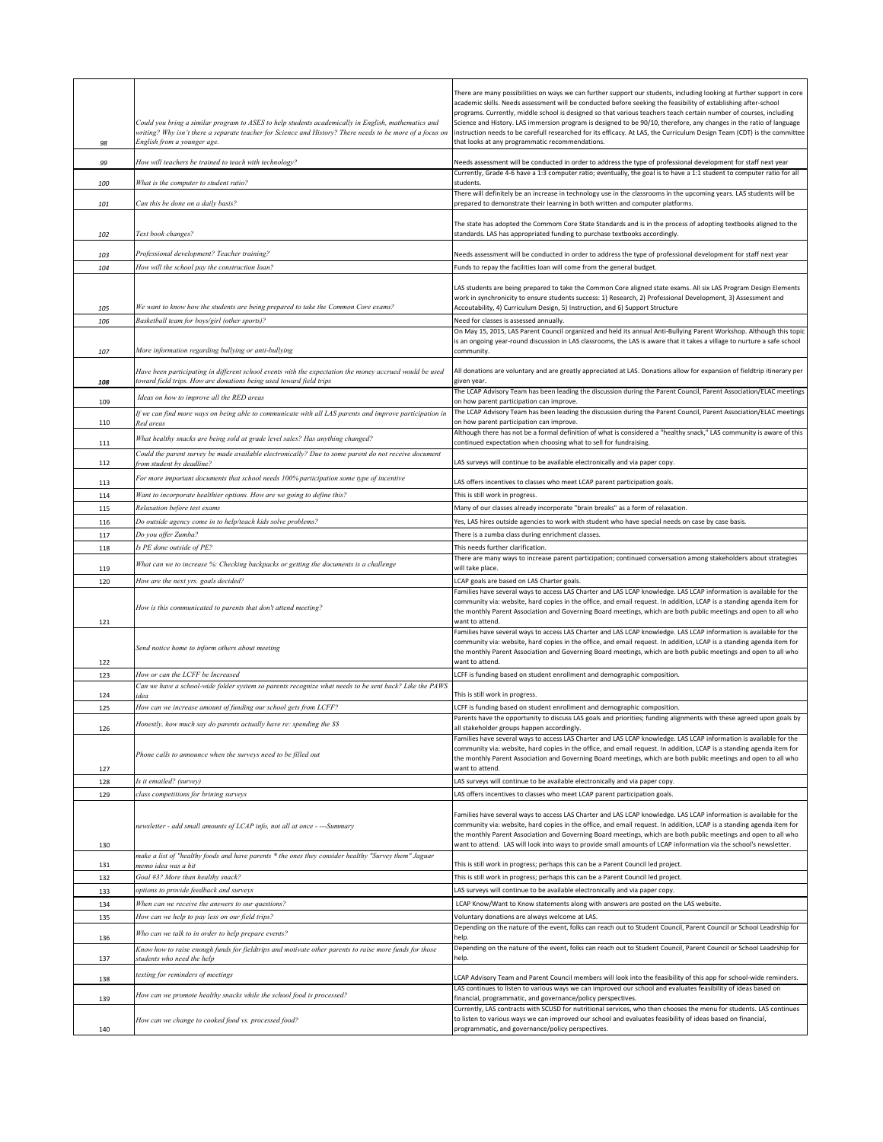| 98  | Could you bring a similar program to ASES to help students academically in English, mathematics and<br>writing? Why isn't there a separate teacher for Science and History? There needs to be more of a focus on<br>English from a younger age. | There are many possibilities on ways we can further support our students, including looking at further support in core<br>academic skills. Needs assessment will be conducted before seeking the feasibility of establishing after-school<br>programs. Currently, middle school is designed so that various teachers teach certain number of courses, including<br>Science and History. LAS immersion program is designed to be 90/10, therefore, any changes in the ratio of language<br>instruction needs to be carefull researched for its efficacy. At LAS, the Curriculum Design Team (CDT) is the committee<br>that looks at any programmatic recommendations. |
|-----|-------------------------------------------------------------------------------------------------------------------------------------------------------------------------------------------------------------------------------------------------|----------------------------------------------------------------------------------------------------------------------------------------------------------------------------------------------------------------------------------------------------------------------------------------------------------------------------------------------------------------------------------------------------------------------------------------------------------------------------------------------------------------------------------------------------------------------------------------------------------------------------------------------------------------------|
| 99  | How will teachers be trained to teach with technology?                                                                                                                                                                                          | Needs assessment will be conducted in order to address the type of professional development for staff next year                                                                                                                                                                                                                                                                                                                                                                                                                                                                                                                                                      |
| 100 | What is the computer to student ratio?                                                                                                                                                                                                          | Currently, Grade 4-6 have a 1:3 computer ratio; eventually, the goal is to have a 1:1 student to computer ratio for all<br>students.                                                                                                                                                                                                                                                                                                                                                                                                                                                                                                                                 |
|     |                                                                                                                                                                                                                                                 | There will definitely be an increase in technology use in the classrooms in the upcoming years. LAS students will be                                                                                                                                                                                                                                                                                                                                                                                                                                                                                                                                                 |
| 101 | Can this be done on a daily basis?                                                                                                                                                                                                              | prepared to demonstrate their learning in both written and computer platforms.                                                                                                                                                                                                                                                                                                                                                                                                                                                                                                                                                                                       |
| 102 | Text book changes?                                                                                                                                                                                                                              | The state has adopted the Commom Core State Standards and is in the process of adopting textbooks aligned to the<br>standards. LAS has appropriated funding to purchase textbooks accordingly.                                                                                                                                                                                                                                                                                                                                                                                                                                                                       |
| 103 | Professional development? Teacher training?                                                                                                                                                                                                     | Needs assessment will be conducted in order to address the type of professional development for staff next year                                                                                                                                                                                                                                                                                                                                                                                                                                                                                                                                                      |
| 104 | How will the school pay the construction loan?                                                                                                                                                                                                  | Funds to repay the facilities loan will come from the general budget.                                                                                                                                                                                                                                                                                                                                                                                                                                                                                                                                                                                                |
| 105 | We want to know how the students are being prepared to take the Common Core exams?                                                                                                                                                              | LAS students are being prepared to take the Common Core aligned state exams. All six LAS Program Design Elements<br>work in synchronicity to ensure students success: 1) Research, 2) Professional Development, 3) Assessment and<br>Accoutability, 4) Curriculum Design, 5) Instruction, and 6) Support Structure                                                                                                                                                                                                                                                                                                                                                   |
| 106 | Basketball team for boys/girl (other sports)?                                                                                                                                                                                                   | Need for classes is assessed annually.                                                                                                                                                                                                                                                                                                                                                                                                                                                                                                                                                                                                                               |
| 107 | More information regarding bullying or anti-bullying                                                                                                                                                                                            | On May 15, 2015, LAS Parent Council organized and held its annual Anti-Bullying Parent Workshop. Although this topic<br>is an ongoing year-round discussion in LAS classrooms, the LAS is aware that it takes a village to nurture a safe school<br>community.                                                                                                                                                                                                                                                                                                                                                                                                       |
| 108 | Have been participating in different school events with the expectation the money accrued would be used<br>toward field trips. How are donations being used toward field trips                                                                  | All donations are voluntary and are greatly appreciated at LAS. Donations allow for expansion of fieldtrip itinerary per<br>given year.                                                                                                                                                                                                                                                                                                                                                                                                                                                                                                                              |
| 109 | Ideas on how to improve all the RED areas                                                                                                                                                                                                       | The LCAP Advisory Team has been leading the discussion during the Parent Council, Parent Association/ELAC meetings<br>on how parent participation can improve.                                                                                                                                                                                                                                                                                                                                                                                                                                                                                                       |
| 110 | If we can find more ways on being able to communicate with all LAS parents and improve participation in<br>Red areas                                                                                                                            | The LCAP Advisory Team has been leading the discussion during the Parent Council, Parent Association/ELAC meetings<br>on how parent participation can improve.                                                                                                                                                                                                                                                                                                                                                                                                                                                                                                       |
| 111 | What healthy snacks are being sold at grade level sales? Has anything changed?                                                                                                                                                                  | Although there has not be a formal definition of what is considered a "healthy snack," LAS community is aware of this<br>continued expectation when choosing what to sell for fundraising.                                                                                                                                                                                                                                                                                                                                                                                                                                                                           |
| 112 | Could the parent survey be made available electronically? Due to some parent do not receive document<br>from student by deadline?                                                                                                               | LAS surveys will continue to be available electronically and via paper copy.                                                                                                                                                                                                                                                                                                                                                                                                                                                                                                                                                                                         |
| 113 | For more important documents that school needs 100% participation some type of incentive                                                                                                                                                        | LAS offers incentives to classes who meet LCAP parent participation goals.                                                                                                                                                                                                                                                                                                                                                                                                                                                                                                                                                                                           |
| 114 | Want to incorporate healthier options. How are we going to define this?                                                                                                                                                                         | This is still work in progress.                                                                                                                                                                                                                                                                                                                                                                                                                                                                                                                                                                                                                                      |
| 115 | Relaxation before test exams                                                                                                                                                                                                                    | Many of our classes already incorporate "brain breaks" as a form of relaxation.                                                                                                                                                                                                                                                                                                                                                                                                                                                                                                                                                                                      |
| 116 | Do outside agency come in to help/teach kids solve problems?                                                                                                                                                                                    | Yes, LAS hires outside agencies to work with student who have special needs on case by case basis.                                                                                                                                                                                                                                                                                                                                                                                                                                                                                                                                                                   |
| 117 | Do you offer Zumba?                                                                                                                                                                                                                             | There is a zumba class during enrichment classes.                                                                                                                                                                                                                                                                                                                                                                                                                                                                                                                                                                                                                    |
| 118 | Is PE done outside of PE?                                                                                                                                                                                                                       | This needs further clarification.<br>There are many ways to increase parent participation; continued conversation among stakeholders about strategies                                                                                                                                                                                                                                                                                                                                                                                                                                                                                                                |
| 119 | What can we to increase %: Checking backpacks or getting the documents is a challenge                                                                                                                                                           | will take place.                                                                                                                                                                                                                                                                                                                                                                                                                                                                                                                                                                                                                                                     |
| 120 | How are the next yrs. goals decided?                                                                                                                                                                                                            | LCAP goals are based on LAS Charter goals.<br>Families have several ways to access LAS Charter and LAS LCAP knowledge. LAS LCAP information is available for the                                                                                                                                                                                                                                                                                                                                                                                                                                                                                                     |
| 121 | How is this communicated to parents that don't attend meeting?                                                                                                                                                                                  | community via: website, hard copies in the office, and email request. In addition, LCAP is a standing agenda item for<br>the monthly Parent Association and Governing Board meetings, which are both public meetings and open to all who<br>want to attend.                                                                                                                                                                                                                                                                                                                                                                                                          |
| 122 | Send notice home to inform others about meeting                                                                                                                                                                                                 | Families have several ways to access LAS Charter and LAS LCAP knowledge. LAS LCAP information is available for the<br>community via: website, hard copies in the office, and email request. In addition, LCAP is a standing agenda item for<br>the monthly Parent Association and Governing Board meetings, which are both public meetings and open to all who<br>want to attend.                                                                                                                                                                                                                                                                                    |
| 123 | How or can the LCFF be Increased                                                                                                                                                                                                                | LCFF is funding based on student enrollment and demographic composition.                                                                                                                                                                                                                                                                                                                                                                                                                                                                                                                                                                                             |
| 124 | Can we have a school-wide folder system so parents recognize what needs to be sent back? Like the PAWS<br>idea                                                                                                                                  | This is still work in progress.                                                                                                                                                                                                                                                                                                                                                                                                                                                                                                                                                                                                                                      |
| 125 | How can we increase amount of funding our school gets from LCFF?                                                                                                                                                                                | LCFF is funding based on student enrollment and demographic composition.                                                                                                                                                                                                                                                                                                                                                                                                                                                                                                                                                                                             |
| 126 | Honestly, how much say do parents actually have re: spending the \$\$                                                                                                                                                                           | Parents have the opportunity to discuss LAS goals and priorities; funding alignments with these agreed upon goals by<br>all stakeholder groups happen accordingly.                                                                                                                                                                                                                                                                                                                                                                                                                                                                                                   |
| 127 | Phone calls to announce when the surveys need to be filled out                                                                                                                                                                                  | Families have several ways to access LAS Charter and LAS LCAP knowledge. LAS LCAP information is available for the<br>community via: website, hard copies in the office, and email request. In addition, LCAP is a standing agenda item for<br>the monthly Parent Association and Governing Board meetings, which are both public meetings and open to all who<br>want to attend.                                                                                                                                                                                                                                                                                    |
| 128 | Is it emailed? (survey)                                                                                                                                                                                                                         | LAS surveys will continue to be available electronically and via paper copy.                                                                                                                                                                                                                                                                                                                                                                                                                                                                                                                                                                                         |
| 129 | class competitions for brining surveys                                                                                                                                                                                                          | LAS offers incentives to classes who meet LCAP parent participation goals.                                                                                                                                                                                                                                                                                                                                                                                                                                                                                                                                                                                           |
| 130 | newsletter - add small amounts of LCAP info, not all at once - --- Summary                                                                                                                                                                      | Families have several ways to access LAS Charter and LAS LCAP knowledge. LAS LCAP information is available for the<br>community via: website, hard copies in the office, and email request. In addition, LCAP is a standing agenda item for<br>the monthly Parent Association and Governing Board meetings, which are both public meetings and open to all who<br>want to attend. LAS will look into ways to provide small amounts of LCAP information via the school's newsletter.                                                                                                                                                                                  |
| 131 | make a list of "healthy foods and have parents * the ones they consider healthy "Survey them" Jaguar<br>nemo idea was a hit                                                                                                                     | This is still work in progress; perhaps this can be a Parent Council led project.                                                                                                                                                                                                                                                                                                                                                                                                                                                                                                                                                                                    |
| 132 | Goal #3? More than healthy snack?                                                                                                                                                                                                               | This is still work in progress; perhaps this can be a Parent Council led project.                                                                                                                                                                                                                                                                                                                                                                                                                                                                                                                                                                                    |
| 133 | options to provide feedback and surveys                                                                                                                                                                                                         | LAS surveys will continue to be available electronically and via paper copy.                                                                                                                                                                                                                                                                                                                                                                                                                                                                                                                                                                                         |
| 134 | When can we receive the answers to our questions?                                                                                                                                                                                               | LCAP Know/Want to Know statements along with answers are posted on the LAS website.                                                                                                                                                                                                                                                                                                                                                                                                                                                                                                                                                                                  |
| 135 | How can we help to pay less on our field trips?                                                                                                                                                                                                 | Voluntary donations are always welcome at LAS.<br>Depending on the nature of the event, folks can reach out to Student Council, Parent Council or School Leadrship for                                                                                                                                                                                                                                                                                                                                                                                                                                                                                               |
| 136 | Who can we talk to in order to help prepare events?<br>Know how to raise enough funds for fieldtrips and motivate other parents to raise more funds for those                                                                                   | help.<br>Depending on the nature of the event, folks can reach out to Student Council, Parent Council or School Leadrship for                                                                                                                                                                                                                                                                                                                                                                                                                                                                                                                                        |
| 137 | students who need the help                                                                                                                                                                                                                      | help.                                                                                                                                                                                                                                                                                                                                                                                                                                                                                                                                                                                                                                                                |
| 138 | texting for reminders of meetings                                                                                                                                                                                                               | LCAP Advisory Team and Parent Council members will look into the feasibility of this app for school-wide reminders.                                                                                                                                                                                                                                                                                                                                                                                                                                                                                                                                                  |
| 139 | How can we promote healthy snacks while the school food is processed?                                                                                                                                                                           | LAS continues to listen to various ways we can improved our school and evaluates feasibility of ideas based on<br>financial, programmatic, and governance/policy perspectives.                                                                                                                                                                                                                                                                                                                                                                                                                                                                                       |
|     | How can we change to cooked food vs. processed food?                                                                                                                                                                                            | Currently, LAS contracts with SCUSD for nutritional services, who then chooses the menu for students. LAS continues<br>to listen to various ways we can improved our school and evaluates feasibility of ideas based on financial,<br>programmatic, and governance/policy perspectives.                                                                                                                                                                                                                                                                                                                                                                              |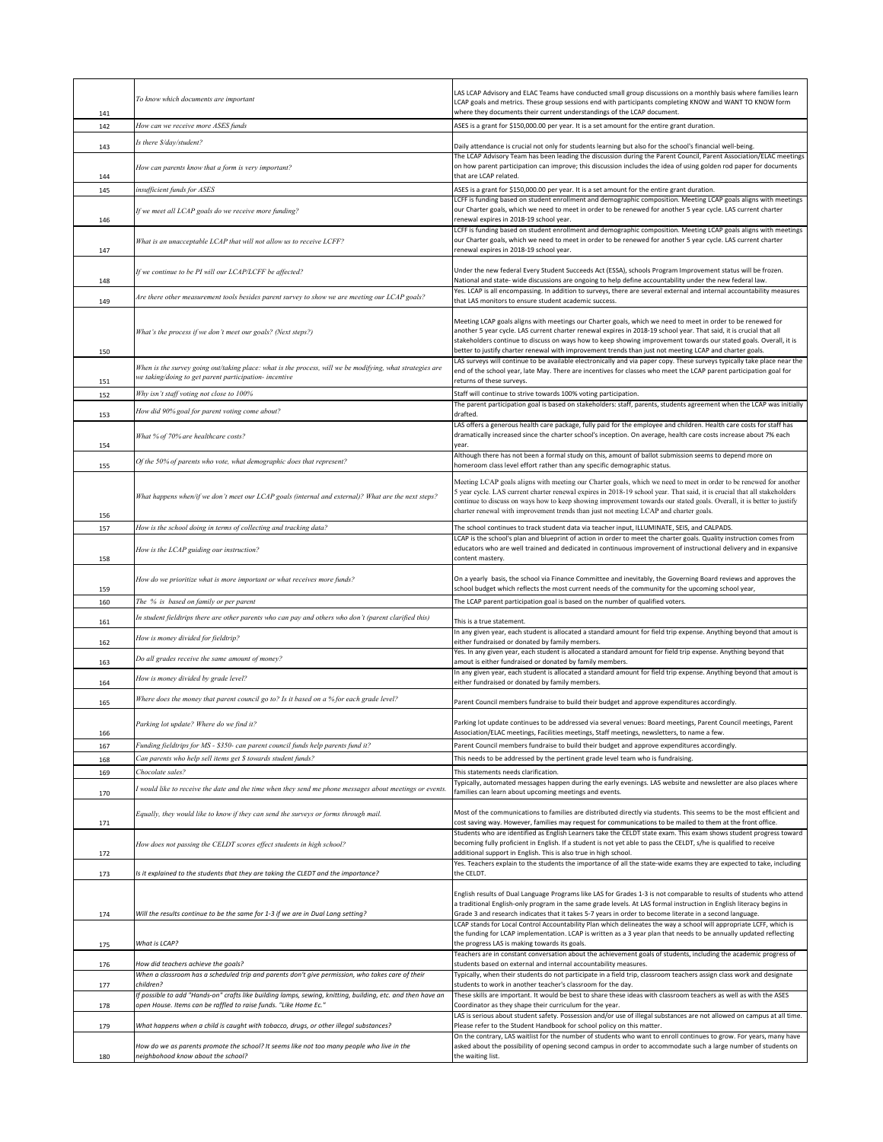| 141        | To know which documents are important                                                                                                                               | LAS LCAP Advisory and ELAC Teams have conducted small group discussions on a monthly basis where families learn<br>LCAP goals and metrics. These group sessions end with participants completing KNOW and WANT TO KNOW form<br>where they documents their current understandings of the LCAP document.                                                                                                                                                             |
|------------|---------------------------------------------------------------------------------------------------------------------------------------------------------------------|--------------------------------------------------------------------------------------------------------------------------------------------------------------------------------------------------------------------------------------------------------------------------------------------------------------------------------------------------------------------------------------------------------------------------------------------------------------------|
| 142        | How can we receive more ASES funds                                                                                                                                  | ASES is a grant for \$150,000.00 per year. It is a set amount for the entire grant duration.                                                                                                                                                                                                                                                                                                                                                                       |
|            | Is there \$/day/student?                                                                                                                                            |                                                                                                                                                                                                                                                                                                                                                                                                                                                                    |
| 143        |                                                                                                                                                                     | Daily attendance is crucial not only for students learning but also for the school's financial well-being.<br>The LCAP Advisory Team has been leading the discussion during the Parent Council, Parent Association/ELAC meetings                                                                                                                                                                                                                                   |
| 144        | How can parents know that a form is very important?                                                                                                                 | on how parent participation can improve; this discussion includes the idea of using golden rod paper for documents<br>that are LCAP related.                                                                                                                                                                                                                                                                                                                       |
| 145        | insufficient funds for ASES                                                                                                                                         | ASES is a grant for \$150,000.00 per year. It is a set amount for the entire grant duration.                                                                                                                                                                                                                                                                                                                                                                       |
| 146        | If we meet all LCAP goals do we receive more funding?                                                                                                               | LCFF is funding based on student enrollment and demographic composition. Meeting LCAP goals aligns with meetings<br>our Charter goals, which we need to meet in order to be renewed for another 5 year cycle. LAS current charter<br>renewal expires in 2018-19 school year.                                                                                                                                                                                       |
| 147        | What is an unacceptable LCAP that will not allow us to receive LCFF?                                                                                                | LCFF is funding based on student enrollment and demographic composition. Meeting LCAP goals aligns with meetings<br>our Charter goals, which we need to meet in order to be renewed for another 5 year cycle. LAS current charter<br>renewal expires in 2018-19 school year.                                                                                                                                                                                       |
| 148        | If we continue to be PI will our LCAP/LCFF be affected?                                                                                                             | Under the new federal Every Student Succeeds Act (ESSA), schools Program Improvement status will be frozen.<br>National and state- wide discussions are ongoing to help define accountability under the new federal law.                                                                                                                                                                                                                                           |
| 149        | Are there other measurement tools besides parent survey to show we are meeting our LCAP goals?                                                                      | Yes. LCAP is all encompassing. In addition to surveys, there are several external and internal accountability measures<br>that LAS monitors to ensure student academic success.                                                                                                                                                                                                                                                                                    |
| 150        | What's the process if we don't meet our goals? (Next steps?)                                                                                                        | Meeting LCAP goals aligns with meetings our Charter goals, which we need to meet in order to be renewed for<br>another 5 year cycle. LAS current charter renewal expires in 2018-19 school year. That said, it is crucial that all<br>stakeholders continue to discuss on ways how to keep showing improvement towards our stated goals. Overall, it is<br>better to justify charter renewal with improvement trends than just not meeting LCAP and charter goals. |
| 151        | When is the survey going out/taking place: what is the process, will we be modifying, what strategies are<br>we taking/doing to get parent participation- incentive | LAS surveys will continue to be available electronically and via paper copy. These surveys typically take place near the<br>end of the school year, late May. There are incentives for classes who meet the LCAP parent participation goal for<br>returns of these surveys.                                                                                                                                                                                        |
| 152        | Why isn't staff voting not close to 100%                                                                                                                            | Staff will continue to strive towards 100% voting participation.                                                                                                                                                                                                                                                                                                                                                                                                   |
| 153        | How did 90% goal for parent voting come about?                                                                                                                      | The parent participation goal is based on stakeholders: staff, parents, students agreement when the LCAP was initially<br>drafted.                                                                                                                                                                                                                                                                                                                                 |
|            | What % of 70% are healthcare costs?                                                                                                                                 | LAS offers a generous health care package, fully paid for the employee and children. Health care costs for staff has<br>dramatically increased since the charter school's inception. On average, health care costs increase about 7% each<br>vear.                                                                                                                                                                                                                 |
| 154<br>155 | Of the 50% of parents who vote, what demographic does that represent?                                                                                               | Although there has not been a formal study on this, amount of ballot submission seems to depend more on<br>homeroom class level effort rather than any specific demographic status.                                                                                                                                                                                                                                                                                |
|            | What happens when/if we don't meet our LCAP goals (internal and external)? What are the next steps?                                                                 | Meeting LCAP goals aligns with meeting our Charter goals, which we need to meet in order to be renewed for another<br>5 year cycle. LAS current charter renewal expires in 2018-19 school year. That said, it is crucial that all stakeholders<br>continue to discuss on ways how to keep showing improvement towards our stated goals. Overall, it is better to justify<br>charter renewal with improvement trends than just not meeting LCAP and charter goals.  |
| 156        |                                                                                                                                                                     |                                                                                                                                                                                                                                                                                                                                                                                                                                                                    |
| 157        | How is the school doing in terms of collecting and tracking data?                                                                                                   | The school continues to track student data via teacher input, ILLUMINATE, SEIS, and CALPADS.<br>LCAP is the school's plan and blueprint of action in order to meet the charter goals. Quality instruction comes from                                                                                                                                                                                                                                               |
| 158        | How is the LCAP guiding our instruction?                                                                                                                            | educators who are well trained and dedicated in continuous improvement of instructional delivery and in expansive<br>content mastery.                                                                                                                                                                                                                                                                                                                              |
| 159        | How do we prioritize what is more important or what receives more funds?                                                                                            | On a yearly basis, the school via Finance Committee and inevitably, the Governing Board reviews and approves the<br>school budget which reflects the most current needs of the community for the upcoming school year,                                                                                                                                                                                                                                             |
| 160        | The % is based on family or per parent                                                                                                                              | The LCAP parent participation goal is based on the number of qualified voters.                                                                                                                                                                                                                                                                                                                                                                                     |
| 161        | In student fieldtrips there are other parents who can pay and others who don't (parent clarified this)                                                              | This is a true statement.                                                                                                                                                                                                                                                                                                                                                                                                                                          |
| 162        | How is money divided for fieldtrip?                                                                                                                                 | In any given year, each student is allocated a standard amount for field trip expense. Anything beyond that amout is<br>either fundraised or donated by family members.                                                                                                                                                                                                                                                                                            |
| 163        | Do all grades receive the same amount of money?                                                                                                                     | Yes. In any given year, each student is allocated a standard amount for field trip expense. Anything beyond that<br>amout is either fundraised or donated by family members.                                                                                                                                                                                                                                                                                       |
| 164        | How is money divided by grade level?                                                                                                                                | In any given year, each student is allocated a standard amount for field trip expense. Anything beyond that amout is<br>either fundraised or donated by family members.                                                                                                                                                                                                                                                                                            |
| 165        | Where does the money that parent council go to? Is it based on a % for each grade level?                                                                            | Parent Council members fundraise to build their budget and approve expenditures accordingly.                                                                                                                                                                                                                                                                                                                                                                       |
| 166        | Parking lot update? Where do we find it?                                                                                                                            | Parking lot update continues to be addressed via several venues: Board meetings, Parent Council meetings, Parent<br>Association/ELAC meetings, Facilities meetings, Staff meetings, newsletters, to name a few.                                                                                                                                                                                                                                                    |
| 167        | Funding fieldtrips for MS - \$350- can parent council funds help parents fund it?                                                                                   | Parent Council members fundraise to build their budget and approve expenditures accordingly.                                                                                                                                                                                                                                                                                                                                                                       |
| 168        | Can parents who help sell items get \$ towards student funds?                                                                                                       | This needs to be addressed by the pertinent grade level team who is fundraising.                                                                                                                                                                                                                                                                                                                                                                                   |
| 169<br>170 | Chocolate sales?<br>I would like to receive the date and the time when they send me phone messages about meetings or events.                                        | This statements needs clarification.<br>Typically, automated messages happen during the early evenings. LAS website and newsletter are also places where<br>families can learn about upcoming meetings and events.                                                                                                                                                                                                                                                 |
|            | Equally, they would like to know if they can send the surveys or forms through mail.                                                                                | Most of the communications to families are distributed directly via students. This seems to be the most efficient and                                                                                                                                                                                                                                                                                                                                              |
| 171        | How does not passing the CELDT scores effect students in high school?                                                                                               | cost saving way. However, families may request for communications to be mailed to them at the front office.<br>Students who are identified as English Learners take the CELDT state exam. This exam shows student progress toward<br>becoming fully proficient in English. If a student is not yet able to pass the CELDT, s/he is qualified to receive                                                                                                            |
| 172        | Is it explained to the students that they are taking the CLEDT and the importance?                                                                                  | additional support in English. This is also true in high school.<br>Yes. Teachers explain to the students the importance of all the state-wide exams they are expected to take, including<br>the CELDT.                                                                                                                                                                                                                                                            |
| 173        |                                                                                                                                                                     | English results of Dual Language Programs like LAS for Grades 1-3 is not comparable to results of students who attend                                                                                                                                                                                                                                                                                                                                              |
| 174        | Will the results continue to be the same for 1-3 if we are in Dual Lang setting?                                                                                    | a traditional English-only program in the same grade levels. At LAS formal instruction in English literacy begins in<br>Grade 3 and research indicates that it takes 5-7 years in order to become literate in a second language.<br>LCAP stands for Local Control Accountability Plan which delineates the way a school will appropriate LCFF, which is                                                                                                            |
| 175        | What is LCAP?                                                                                                                                                       | the funding for LCAP implementation. LCAP is written as a 3 year plan that needs to be annually updated reflecting<br>the progress LAS is making towards its goals.                                                                                                                                                                                                                                                                                                |
| 176        | How did teachers achieve the goals?                                                                                                                                 | Teachers are in constant conversation about the achievement goals of students, including the academic progress of<br>students based on external and internal accountability measures.                                                                                                                                                                                                                                                                              |
| 177        | When a classroom has a scheduled trip and parents don't give permission, who takes care of their<br>children?                                                       | Typically, when their students do not participate in a field trip, classroom teachers assign class work and designate<br>students to work in another teacher's classroom for the day.                                                                                                                                                                                                                                                                              |
|            | If possible to add "Hands-on" crafts like building lamps, sewing, knitting, building, etc. and then have an                                                         | These skills are important. It would be best to share these ideas with classroom teachers as well as with the ASES                                                                                                                                                                                                                                                                                                                                                 |
| 178        | open House. Items can be raffled to raise funds. "Like Home Ec."                                                                                                    | Coordinator as they shape their curriculum for the year.<br>LAS is serious about student safety. Possession and/or use of illegal substances are not allowed on campus at all time.                                                                                                                                                                                                                                                                                |
| 179        | What happens when a child is caught with tobacco, drugs, or other illegal substances?                                                                               | Please refer to the Student Handbook for school policy on this matter.<br>On the contrary, LAS waitlist for the number of students who want to enroll continues to grow. For years, many have                                                                                                                                                                                                                                                                      |
| 180        | How do we as parents promote the school? It seems like not too many people who live in the<br>neighbohood know about the school?                                    | asked about the possibility of opening second campus in order to accommodate such a large number of students on<br>the waiting list.                                                                                                                                                                                                                                                                                                                               |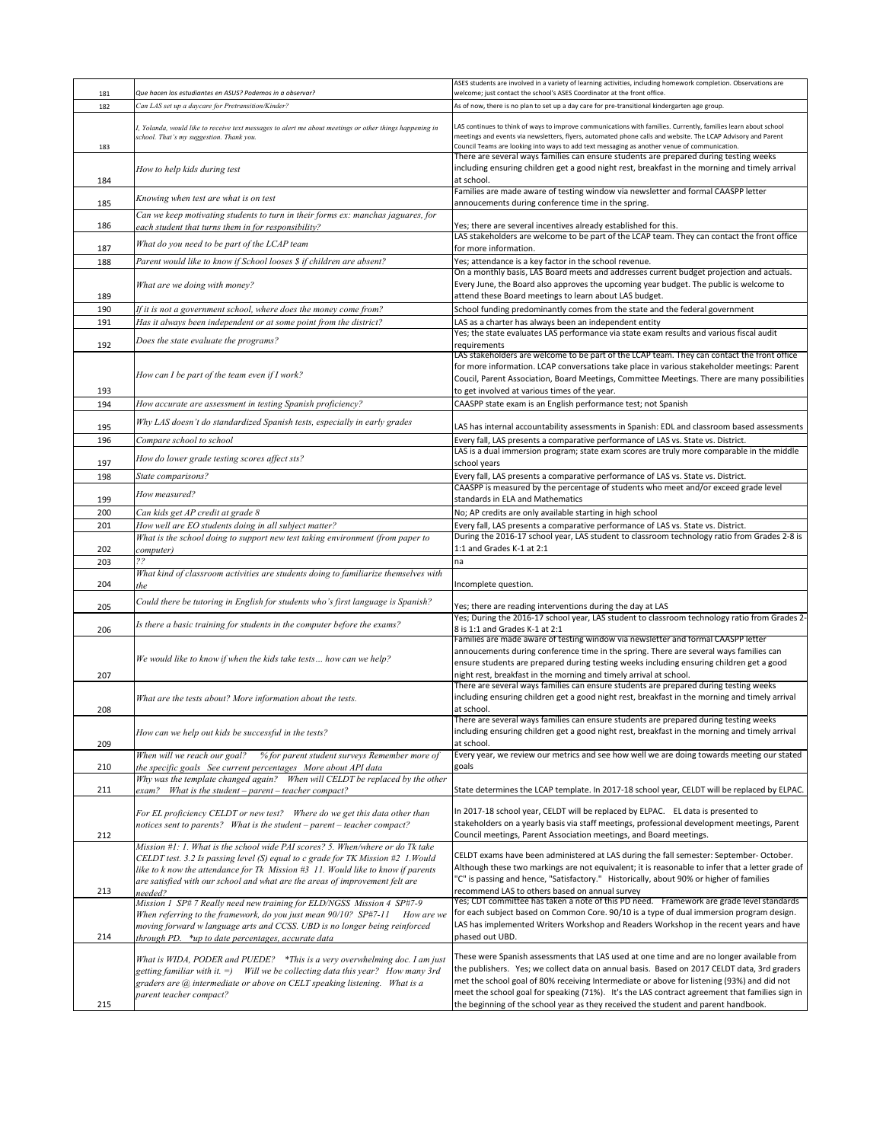|            |                                                                                                                                                                                                                                                                                                                                                   | ASES students are involved in a variety of learning activities, including homework completion. Observations are                                                                                                                                                                                                                                                                                                                                                                |
|------------|---------------------------------------------------------------------------------------------------------------------------------------------------------------------------------------------------------------------------------------------------------------------------------------------------------------------------------------------------|--------------------------------------------------------------------------------------------------------------------------------------------------------------------------------------------------------------------------------------------------------------------------------------------------------------------------------------------------------------------------------------------------------------------------------------------------------------------------------|
| 181        | Que hacen los estudiantes en ASUS? Podemos in a observar?                                                                                                                                                                                                                                                                                         | welcome; just contact the school's ASES Coordinator at the front office.                                                                                                                                                                                                                                                                                                                                                                                                       |
| 182        | Can LAS set up a daycare for Pretransition/Kinder?                                                                                                                                                                                                                                                                                                | As of now, there is no plan to set up a day care for pre-transitional kindergarten age group.                                                                                                                                                                                                                                                                                                                                                                                  |
| 183        | I, Yolanda, would like to receive text messages to alert me about meetings or other things happening in<br>school. That's my suggestion. Thank you.                                                                                                                                                                                               | LAS continues to think of ways to improve communications with families. Currently, families learn about school<br>meetings and events via newsletters, flyers, automated phone calls and website. The LCAP Advisory and Parent<br>Council Teams are looking into ways to add text messaging as another venue of communication.                                                                                                                                                 |
| 184        | How to help kids during test                                                                                                                                                                                                                                                                                                                      | There are several ways families can ensure students are prepared during testing weeks<br>including ensuring children get a good night rest, breakfast in the morning and timely arrival<br>at school.                                                                                                                                                                                                                                                                          |
| 185        | Knowing when test are what is on test                                                                                                                                                                                                                                                                                                             | Families are made aware of testing window via newsletter and formal CAASPP letter<br>annoucements during conference time in the spring.                                                                                                                                                                                                                                                                                                                                        |
|            | Can we keep motivating students to turn in their forms ex: manchas jaguares, for                                                                                                                                                                                                                                                                  |                                                                                                                                                                                                                                                                                                                                                                                                                                                                                |
| 186        | each student that turns them in for responsibility?                                                                                                                                                                                                                                                                                               | Yes; there are several incentives already established for this.<br>LAS stakeholders are welcome to be part of the LCAP team. They can contact the front office                                                                                                                                                                                                                                                                                                                 |
| 187        | What do you need to be part of the LCAP team                                                                                                                                                                                                                                                                                                      | for more information.                                                                                                                                                                                                                                                                                                                                                                                                                                                          |
| 188        | Parent would like to know if School looses \$ if children are absent?                                                                                                                                                                                                                                                                             | Yes; attendance is a key factor in the school revenue.                                                                                                                                                                                                                                                                                                                                                                                                                         |
|            | What are we doing with money?                                                                                                                                                                                                                                                                                                                     | On a monthly basis, LAS Board meets and addresses current budget projection and actuals.<br>Every June, the Board also approves the upcoming year budget. The public is welcome to                                                                                                                                                                                                                                                                                             |
| 189        |                                                                                                                                                                                                                                                                                                                                                   | attend these Board meetings to learn about LAS budget.                                                                                                                                                                                                                                                                                                                                                                                                                         |
| 190        | If it is not a government school, where does the money come from?                                                                                                                                                                                                                                                                                 | School funding predominantly comes from the state and the federal government                                                                                                                                                                                                                                                                                                                                                                                                   |
| 191        | Has it always been independent or at some point from the district?                                                                                                                                                                                                                                                                                | LAS as a charter has always been an independent entity<br>Yes; the state evaluates LAS performance via state exam results and various fiscal audit                                                                                                                                                                                                                                                                                                                             |
| 192        | Does the state evaluate the programs?                                                                                                                                                                                                                                                                                                             | requirements                                                                                                                                                                                                                                                                                                                                                                                                                                                                   |
| 193        | How can I be part of the team even if I work?                                                                                                                                                                                                                                                                                                     | LAS stakeholders are welcome to be part of the LCAP team. They can contact the front office<br>for more information. LCAP conversations take place in various stakeholder meetings: Parent<br>Coucil, Parent Association, Board Meetings, Committee Meetings. There are many possibilities<br>to get involved at various times of the year.                                                                                                                                    |
| 194        | How accurate are assessment in testing Spanish proficiency?                                                                                                                                                                                                                                                                                       | CAASPP state exam is an English performance test; not Spanish                                                                                                                                                                                                                                                                                                                                                                                                                  |
| 195        | Why LAS doesn't do standardized Spanish tests, especially in early grades                                                                                                                                                                                                                                                                         | LAS has internal accountability assessments in Spanish: EDL and classroom based assessments                                                                                                                                                                                                                                                                                                                                                                                    |
| 196        | Compare school to school                                                                                                                                                                                                                                                                                                                          | Every fall, LAS presents a comparative performance of LAS vs. State vs. District.                                                                                                                                                                                                                                                                                                                                                                                              |
| 197        | How do lower grade testing scores affect sts?                                                                                                                                                                                                                                                                                                     | LAS is a dual immersion program; state exam scores are truly more comparable in the middle<br>school years                                                                                                                                                                                                                                                                                                                                                                     |
| 198        | State comparisons?                                                                                                                                                                                                                                                                                                                                | Every fall, LAS presents a comparative performance of LAS vs. State vs. District.                                                                                                                                                                                                                                                                                                                                                                                              |
|            | How measured?                                                                                                                                                                                                                                                                                                                                     | CAASPP is measured by the percentage of students who meet and/or exceed grade level                                                                                                                                                                                                                                                                                                                                                                                            |
| 199        |                                                                                                                                                                                                                                                                                                                                                   | standards in ELA and Mathematics                                                                                                                                                                                                                                                                                                                                                                                                                                               |
| 200<br>201 | Can kids get AP credit at grade 8<br>How well are EO students doing in all subject matter?                                                                                                                                                                                                                                                        | No; AP credits are only available starting in high school<br>Every fall, LAS presents a comparative performance of LAS vs. State vs. District.                                                                                                                                                                                                                                                                                                                                 |
|            | What is the school doing to support new test taking environment (from paper to                                                                                                                                                                                                                                                                    | During the 2016-17 school year, LAS student to classroom technology ratio from Grades 2-8 is                                                                                                                                                                                                                                                                                                                                                                                   |
| 202        | computer)                                                                                                                                                                                                                                                                                                                                         | 1:1 and Grades K-1 at 2:1                                                                                                                                                                                                                                                                                                                                                                                                                                                      |
| 203        | 22                                                                                                                                                                                                                                                                                                                                                | na                                                                                                                                                                                                                                                                                                                                                                                                                                                                             |
| 204        | What kind of classroom activities are students doing to familiarize themselves with                                                                                                                                                                                                                                                               | Incomplete question.                                                                                                                                                                                                                                                                                                                                                                                                                                                           |
| 205        | Could there be tutoring in English for students who's first language is Spanish?                                                                                                                                                                                                                                                                  | Yes; there are reading interventions during the day at LAS                                                                                                                                                                                                                                                                                                                                                                                                                     |
| 206        | Is there a basic training for students in the computer before the exams?                                                                                                                                                                                                                                                                          | Yes; During the 2016-17 school year, LAS student to classroom technology ratio from Grades 2-<br>8 is 1:1 and Grades K-1 at 2:1                                                                                                                                                                                                                                                                                                                                                |
| 207        | We would like to know if when the kids take tests how can we help?                                                                                                                                                                                                                                                                                | Families are made aware of testing window via newsletter and formal CAASPP letter<br>annoucements during conference time in the spring. There are several ways families can<br>ensure students are prepared during testing weeks including ensuring children get a good<br>night rest, breakfast in the morning and timely arrival at school.                                                                                                                                  |
| 208        | What are the tests about? More information about the tests.                                                                                                                                                                                                                                                                                       | There are several ways families can ensure students are prepared during testing weeks<br>including ensuring children get a good night rest, breakfast in the morning and timely arrival<br>at school.                                                                                                                                                                                                                                                                          |
| 209        | How can we help out kids be successful in the tests?                                                                                                                                                                                                                                                                                              | There are several ways families can ensure students are prepared during testing weeks<br>including ensuring children get a good night rest, breakfast in the morning and timely arrival<br>at school.                                                                                                                                                                                                                                                                          |
| 210        | When will we reach our goal?<br>% for parent student surveys Remember more of<br>the specific goals See current percentages More about API data                                                                                                                                                                                                   | Every year, we review our metrics and see how well we are doing towards meeting our stated<br>goals                                                                                                                                                                                                                                                                                                                                                                            |
|            | Why was the template changed again? When will CELDT be replaced by the other                                                                                                                                                                                                                                                                      |                                                                                                                                                                                                                                                                                                                                                                                                                                                                                |
| 211        | exam? What is the student - parent - teacher compact?                                                                                                                                                                                                                                                                                             | State determines the LCAP template. In 2017-18 school year, CELDT will be replaced by ELPAC.                                                                                                                                                                                                                                                                                                                                                                                   |
| 212        | For EL proficiency CELDT or new test? Where do we get this data other than<br>notices sent to parents? What is the student - parent - teacher compact?                                                                                                                                                                                            | In 2017-18 school year, CELDT will be replaced by ELPAC. EL data is presented to<br>stakeholders on a yearly basis via staff meetings, professional development meetings, Parent<br>Council meetings, Parent Association meetings, and Board meetings.                                                                                                                                                                                                                         |
| 213        | Mission #1: 1. What is the school wide PAI scores? 5. When/where or do Tk take<br>CELDT test. 3.2 Is passing level (S) equal to c grade for TK Mission #2 1. Would<br>like to k now the attendance for Tk Mission #3 11. Would like to know if parents<br>are satisfied with our school and what are the areas of improvement felt are<br>needed? | CELDT exams have been administered at LAS during the fall semester: September-October.<br>Although these two markings are not equivalent; it is reasonable to infer that a letter grade of<br>"C" is passing and hence, "Satisfactory." Historically, about 90% or higher of families<br>recommend LAS to others based on annual survey                                                                                                                                        |
| 214        | Mission 1 SP#7 Really need new training for ELD/NGSS Mission 4 SP#7-9<br>When referring to the framework, do you just mean 90/10? SP#7-11<br>How are we<br>moving forward w language arts and CCSS. UBD is no longer being reinforced<br>through PD. *up to date percentages, accurate data                                                       | Yes; CDT committee has taken a note of this PD need. Framework are grade level standards<br>for each subject based on Common Core. 90/10 is a type of dual immersion program design.<br>LAS has implemented Writers Workshop and Readers Workshop in the recent years and have<br>phased out UBD.                                                                                                                                                                              |
| 215        | What is WIDA, PODER and PUEDE? *This is a very overwhelming doc. I am just<br>getting familiar with it. =) Will we be collecting data this year? How many 3rd<br>graders are @ intermediate or above on CELT speaking listening. What is a<br>parent teacher compact?                                                                             | These were Spanish assessments that LAS used at one time and are no longer available from<br>the publishers. Yes; we collect data on annual basis. Based on 2017 CELDT data, 3rd graders<br>met the school goal of 80% receiving Intermediate or above for listening (93%) and did not<br>meet the school goal for speaking (71%). It's the LAS contract agreement that families sign in<br>the beginning of the school year as they received the student and parent handbook. |
|            |                                                                                                                                                                                                                                                                                                                                                   |                                                                                                                                                                                                                                                                                                                                                                                                                                                                                |